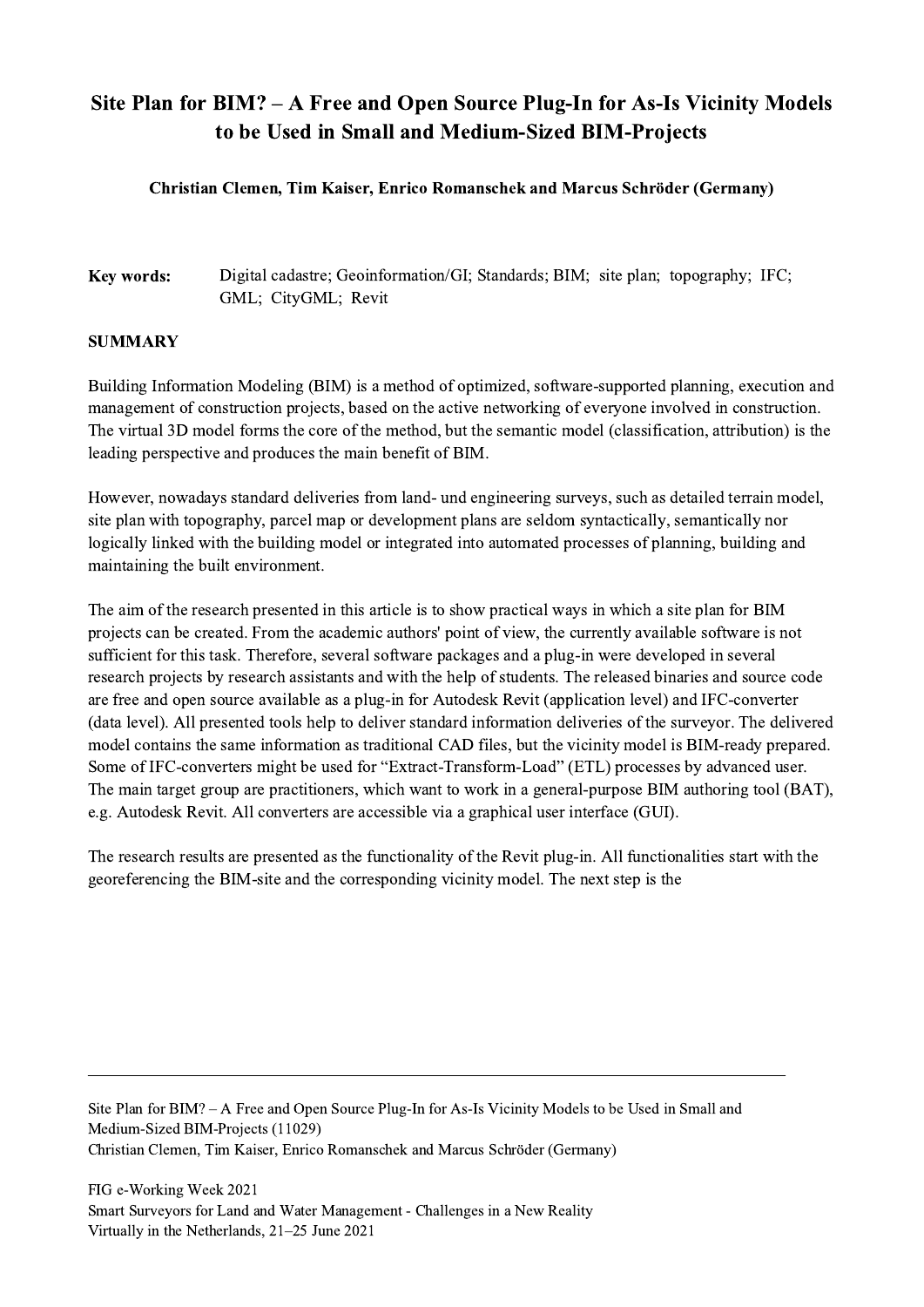## Site Plan for BIM? – A Free and Open Source Plug-In for As-Is Vicinity Models to be Used in Small and Medium-Sized BIM-Projects

## Christian Clemen, Tim Kaiser, Enrico Romanschek and Marcus Schröder (Germany)

## Key words: Digital cadastre; Geoinformation/GI; Standards; BIM; site plan; topography; IFC; GML; CityGML; Revit

## **SUMMARY**

Building Information Modeling (BIM) is a method of optimized, software-supported planning, execution and management of construction projects, based on the active networking of everyone involved in construction. The virtual 3D model forms the core of the method, but the semantic model (classification, attribution) is the leading perspective and produces the main benefit of BIM.

However, nowadays standard deliveries from land- und engineering surveys, such as detailed terrain model, site plan with topography, parcel map or development plans are seldom syntactically, semantically nor logically linked with the building model or integrated into automated processes of planning, building and maintaining the built environment.

The aim of the research presented in this article is to show practical ways in which a site plan for BIM projects can be created. From the academic authors' point of view, the currently available software is not sufficient for this task. Therefore, several software packages and a plug-in were developed in several research projects by research assistants and with the help of students. The released binaries and source code are free and open source available as a plug-in for Autodesk Revit (application level) and IFC-converter (data level). All presented tools help to deliver standard information deliveries of the surveyor. The delivered model contains the same information as traditional CAD files, but the vicinity model is BIM-ready prepared. Some of IFC-converters might be used for "Extract-Transform-Load" (ETL) processes by advanced user. The main target group are practitioners, which want to work in a general-purpose BIM authoring tool (BAT), e.g. Autodesk Revit. All converters are accessible via a graphical user interface (GUI).

The research results are presented as the functionality of the Revit plug-in. All functionalities start with the georeferencing the BIM-site and the corresponding vicinity model. The next step is the

Site Plan for BIM? – A Free and Open Source Plug-In for As-Is Vicinity Models to be Used in Small and Medium-Sized BIM-Projects (11029) Christian Clemen, Tim Kaiser, Enrico Romanschek and Marcus Schröder (Germany)

 $\mathcal{L}_\mathcal{L} = \{ \mathcal{L}_\mathcal{L} = \{ \mathcal{L}_\mathcal{L} = \{ \mathcal{L}_\mathcal{L} = \{ \mathcal{L}_\mathcal{L} = \{ \mathcal{L}_\mathcal{L} = \{ \mathcal{L}_\mathcal{L} = \{ \mathcal{L}_\mathcal{L} = \{ \mathcal{L}_\mathcal{L} = \{ \mathcal{L}_\mathcal{L} = \{ \mathcal{L}_\mathcal{L} = \{ \mathcal{L}_\mathcal{L} = \{ \mathcal{L}_\mathcal{L} = \{ \mathcal{L}_\mathcal{L} = \{ \mathcal{L}_\mathcal{$